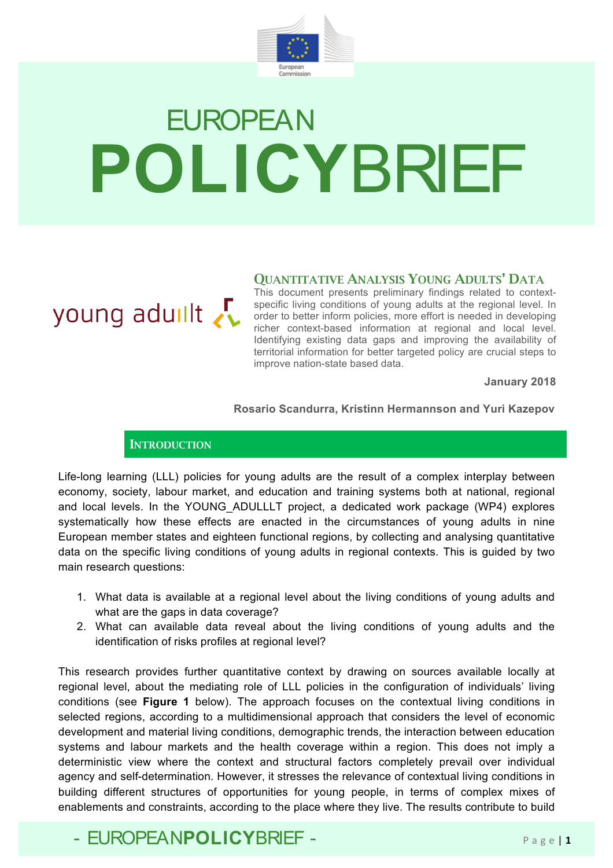

# **EUROPEAN POLICY**BRIEF

#### QUANTITATIVE ANALYSIS YOUNG ADULTS' DATA

young aduilt

This document presents preliminary findings related to contextspecific living conditions of young adults at the regional level. In order to better inform policies, more effort is needed in developing richer context-based information at regional and local level. Identifying existing data gaps and improving the availability of territorial information for better targeted policy are crucial steps to improve nation-state based data.

**January 2018**

#### **Rosario Scandurra, Kristinn Hermannson and Yuri Kazepov**

#### **INTRODUCTION**

Life-long learning (LLL) policies for young adults are the result of a complex interplay between economy, society, labour market, and education and training systems both at national, regional and local levels. In the YOUNG\_ADULLLT project, a dedicated work package (WP4) explores systematically how these effects are enacted in the circumstances of young adults in nine European member states and eighteen functional regions, by collecting and analysing quantitative data on the specific living conditions of young adults in regional contexts. This is guided by two main research questions:

- 1. What data is available at a regional level about the living conditions of young adults and what are the gaps in data coverage?
- 2. What can available data reveal about the living conditions of young adults and the identification of risks profiles at regional level?

This research provides further quantitative context by drawing on sources available locally at regional level, about the mediating role of LLL policies in the configuration of individuals' living conditions (see **Figure 1** below). The approach focuses on the contextual living conditions in selected regions, according to a multidimensional approach that considers the level of economic development and material living conditions, demographic trends, the interaction between education systems and labour markets and the health coverage within a region. This does not imply a deterministic view where the context and structural factors completely prevail over individual agency and self-determination. However, it stresses the relevance of contextual living conditions in building different structures of opportunities for young people, in terms of complex mixes of enablements and constraints, according to the place where they live. The results contribute to build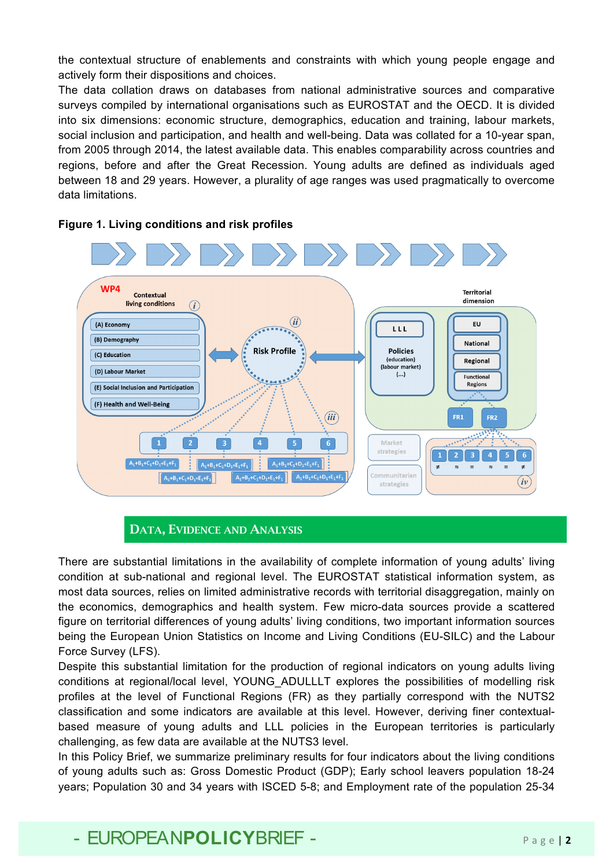the contextual structure of enablements and constraints with which young people engage and actively form their dispositions and choices.

The data collation draws on databases from national administrative sources and comparative surveys compiled by international organisations such as EUROSTAT and the OECD. It is divided into six dimensions: economic structure, demographics, education and training, labour markets, social inclusion and participation, and health and well-being. Data was collated for a 10-year span, from 2005 through 2014, the latest available data. This enables comparability across countries and regions, before and after the Great Recession. Young adults are defined as individuals aged between 18 and 29 years. However, a plurality of age ranges was used pragmatically to overcome data limitations.



#### **Figure 1. Living conditions and risk profiles**

#### DATA, EVIDENCE AND ANALYSIS

There are substantial limitations in the availability of complete information of young adults' living condition at sub-national and regional level. The EUROSTAT statistical information system, as most data sources, relies on limited administrative records with territorial disaggregation, mainly on the economics, demographics and health system. Few micro-data sources provide a scattered figure on territorial differences of young adults' living conditions, two important information sources being the European Union Statistics on Income and Living Conditions (EU-SILC) and the Labour Force Survey (LFS).

Despite this substantial limitation for the production of regional indicators on young adults living conditions at regional/local level, YOUNG\_ADULLLT explores the possibilities of modelling risk profiles at the level of Functional Regions (FR) as they partially correspond with the NUTS2 classification and some indicators are available at this level. However, deriving finer contextualbased measure of young adults and LLL policies in the European territories is particularly challenging, as few data are available at the NUTS3 level.

In this Policy Brief, we summarize preliminary results for four indicators about the living conditions of young adults such as: Gross Domestic Product (GDP); Early school leavers population 18-24 years; Population 30 and 34 years with ISCED 5-8; and Employment rate of the population 25-34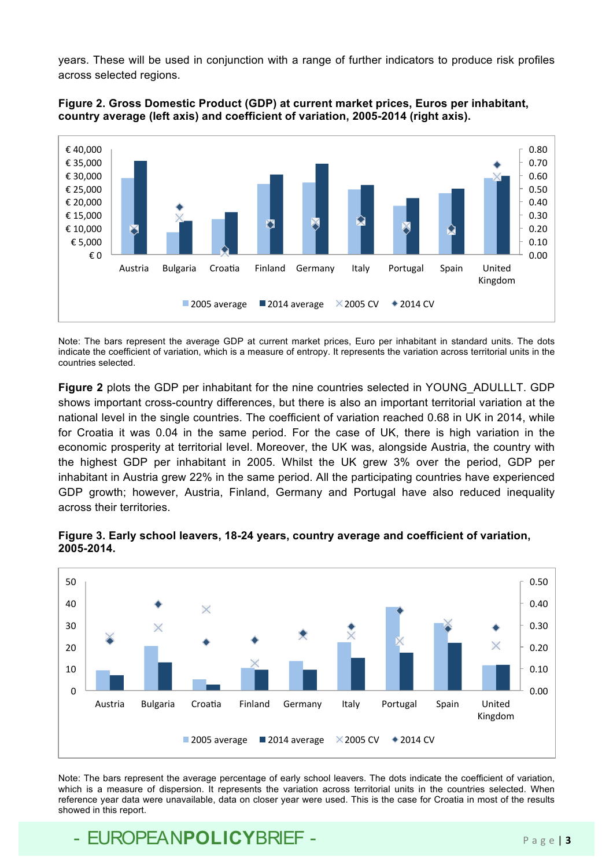years. These will be used in conjunction with a range of further indicators to produce risk profiles across selected regions.



#### **Figure 2. Gross Domestic Product (GDP) at current market prices, Euros per inhabitant, country average (left axis) and coefficient of variation, 2005-2014 (right axis).**

Note: The bars represent the average GDP at current market prices, Euro per inhabitant in standard units. The dots indicate the coefficient of variation, which is a measure of entropy. It represents the variation across territorial units in the countries selected.

**Figure 2** plots the GDP per inhabitant for the nine countries selected in YOUNG\_ADULLLT. GDP shows important cross-country differences, but there is also an important territorial variation at the national level in the single countries. The coefficient of variation reached 0.68 in UK in 2014, while for Croatia it was 0.04 in the same period. For the case of UK, there is high variation in the economic prosperity at territorial level. Moreover, the UK was, alongside Austria, the country with the highest GDP per inhabitant in 2005. Whilst the UK grew 3% over the period, GDP per inhabitant in Austria grew 22% in the same period. All the participating countries have experienced GDP growth; however, Austria, Finland, Germany and Portugal have also reduced inequality across their territories.



#### **Figure 3. Early school leavers, 18-24 years, country average and coefficient of variation, 2005-2014.**

Note: The bars represent the average percentage of early school leavers. The dots indicate the coefficient of variation, which is a measure of dispersion. It represents the variation across territorial units in the countries selected. When reference year data were unavailable, data on closer year were used. This is the case for Croatia in most of the results showed in this report.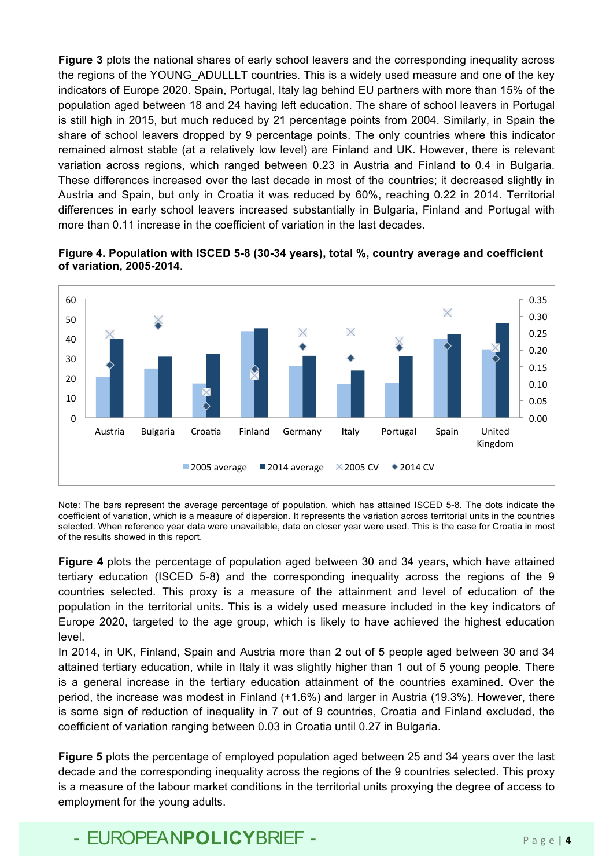**Figure 3** plots the national shares of early school leavers and the corresponding inequality across the regions of the YOUNG ADULLLT countries. This is a widely used measure and one of the key indicators of Europe 2020. Spain, Portugal, Italy lag behind EU partners with more than 15% of the population aged between 18 and 24 having left education. The share of school leavers in Portugal is still high in 2015, but much reduced by 21 percentage points from 2004. Similarly, in Spain the share of school leavers dropped by 9 percentage points. The only countries where this indicator remained almost stable (at a relatively low level) are Finland and UK. However, there is relevant variation across regions, which ranged between 0.23 in Austria and Finland to 0.4 in Bulgaria. These differences increased over the last decade in most of the countries; it decreased slightly in Austria and Spain, but only in Croatia it was reduced by 60%, reaching 0.22 in 2014. Territorial differences in early school leavers increased substantially in Bulgaria, Finland and Portugal with more than 0.11 increase in the coefficient of variation in the last decades.



#### **Figure 4. Population with ISCED 5-8 (30-34 years), total %, country average and coefficient of variation, 2005-2014.**

Note: The bars represent the average percentage of population, which has attained ISCED 5-8. The dots indicate the coefficient of variation, which is a measure of dispersion. It represents the variation across territorial units in the countries selected. When reference year data were unavailable, data on closer year were used. This is the case for Croatia in most of the results showed in this report.

**Figure 4** plots the percentage of population aged between 30 and 34 years, which have attained tertiary education (ISCED 5-8) and the corresponding inequality across the regions of the 9 countries selected. This proxy is a measure of the attainment and level of education of the population in the territorial units. This is a widely used measure included in the key indicators of Europe 2020, targeted to the age group, which is likely to have achieved the highest education level.

In 2014, in UK, Finland, Spain and Austria more than 2 out of 5 people aged between 30 and 34 attained tertiary education, while in Italy it was slightly higher than 1 out of 5 young people. There is a general increase in the tertiary education attainment of the countries examined. Over the period, the increase was modest in Finland (+1.6%) and larger in Austria (19.3%). However, there is some sign of reduction of inequality in 7 out of 9 countries, Croatia and Finland excluded, the coefficient of variation ranging between 0.03 in Croatia until 0.27 in Bulgaria.

**Figure 5** plots the percentage of employed population aged between 25 and 34 years over the last decade and the corresponding inequality across the regions of the 9 countries selected. This proxy is a measure of the labour market conditions in the territorial units proxying the degree of access to employment for the young adults.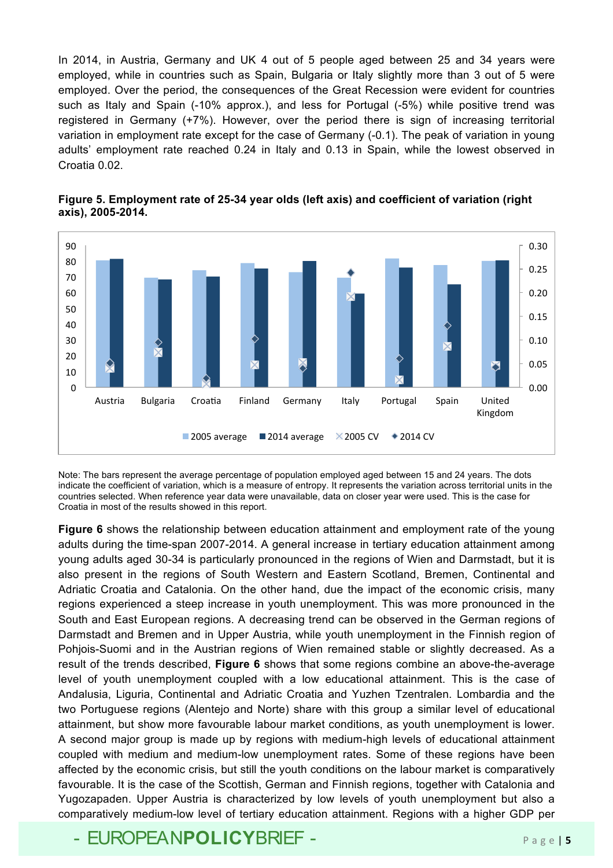In 2014, in Austria, Germany and UK 4 out of 5 people aged between 25 and 34 years were employed, while in countries such as Spain, Bulgaria or Italy slightly more than 3 out of 5 were employed. Over the period, the consequences of the Great Recession were evident for countries such as Italy and Spain (-10% approx.), and less for Portugal (-5%) while positive trend was registered in Germany (+7%). However, over the period there is sign of increasing territorial variation in employment rate except for the case of Germany (-0.1). The peak of variation in young adults' employment rate reached 0.24 in Italy and 0.13 in Spain, while the lowest observed in Croatia 0.02.



**Figure 5. Employment rate of 25-34 year olds (left axis) and coefficient of variation (right axis), 2005-2014.**

Note: The bars represent the average percentage of population employed aged between 15 and 24 years. The dots indicate the coefficient of variation, which is a measure of entropy. It represents the variation across territorial units in the countries selected. When reference year data were unavailable, data on closer year were used. This is the case for Croatia in most of the results showed in this report.

**Figure 6** shows the relationship between education attainment and employment rate of the young adults during the time-span 2007-2014. A general increase in tertiary education attainment among young adults aged 30-34 is particularly pronounced in the regions of Wien and Darmstadt, but it is also present in the regions of South Western and Eastern Scotland, Bremen, Continental and Adriatic Croatia and Catalonia. On the other hand, due the impact of the economic crisis, many regions experienced a steep increase in youth unemployment. This was more pronounced in the South and East European regions. A decreasing trend can be observed in the German regions of Darmstadt and Bremen and in Upper Austria, while youth unemployment in the Finnish region of Pohjois-Suomi and in the Austrian regions of Wien remained stable or slightly decreased. As a result of the trends described, **Figure 6** shows that some regions combine an above-the-average level of youth unemployment coupled with a low educational attainment. This is the case of Andalusia, Liguria, Continental and Adriatic Croatia and Yuzhen Tzentralen. Lombardia and the two Portuguese regions (Alentejo and Norte) share with this group a similar level of educational attainment, but show more favourable labour market conditions, as youth unemployment is lower. A second major group is made up by regions with medium-high levels of educational attainment coupled with medium and medium-low unemployment rates. Some of these regions have been affected by the economic crisis, but still the youth conditions on the labour market is comparatively favourable. It is the case of the Scottish, German and Finnish regions, together with Catalonia and Yugozapaden. Upper Austria is characterized by low levels of youth unemployment but also a comparatively medium-low level of tertiary education attainment. Regions with a higher GDP per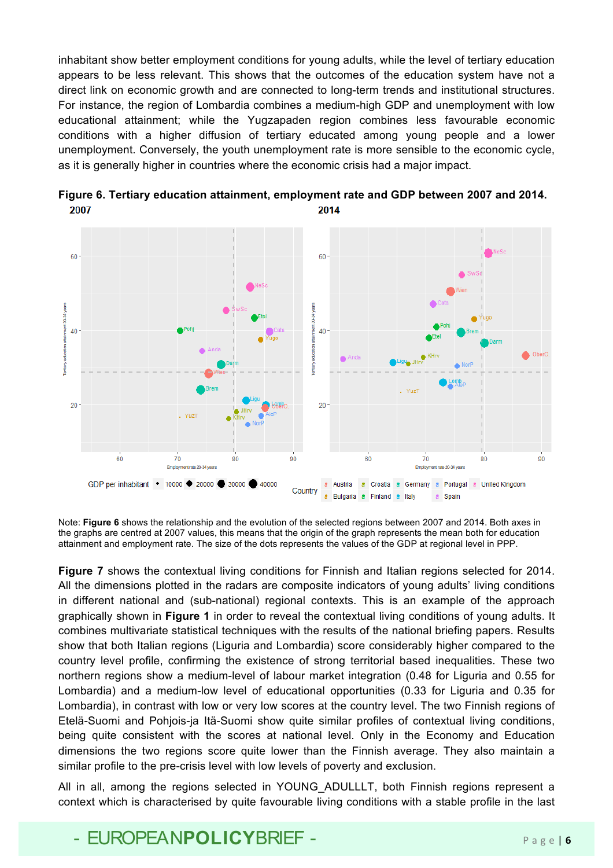inhabitant show better employment conditions for young adults, while the level of tertiary education appears to be less relevant. This shows that the outcomes of the education system have not a direct link on economic growth and are connected to long-term trends and institutional structures. For instance, the region of Lombardia combines a medium-high GDP and unemployment with low educational attainment; while the Yugzapaden region combines less favourable economic conditions with a higher diffusion of tertiary educated among young people and a lower unemployment. Conversely, the youth unemployment rate is more sensible to the economic cycle, as it is generally higher in countries where the economic crisis had a major impact.



**Figure 6. Tertiary education attainment, employment rate and GDP between 2007 and 2014.** 2007 2014

Note: **Figure 6** shows the relationship and the evolution of the selected regions between 2007 and 2014. Both axes in the graphs are centred at 2007 values, this means that the origin of the graph represents the mean both for education attainment and employment rate. The size of the dots represents the values of the GDP at regional level in PPP.

**Figure 7** shows the contextual living conditions for Finnish and Italian regions selected for 2014. All the dimensions plotted in the radars are composite indicators of young adults' living conditions in different national and (sub-national) regional contexts. This is an example of the approach graphically shown in **Figure 1** in order to reveal the contextual living conditions of young adults. It combines multivariate statistical techniques with the results of the national briefing papers. Results show that both Italian regions (Liguria and Lombardia) score considerably higher compared to the country level profile, confirming the existence of strong territorial based inequalities. These two northern regions show a medium-level of labour market integration (0.48 for Liguria and 0.55 for Lombardia) and a medium-low level of educational opportunities (0.33 for Liguria and 0.35 for Lombardia), in contrast with low or very low scores at the country level. The two Finnish regions of Etelä-Suomi and Pohjois-ja Itä-Suomi show quite similar profiles of contextual living conditions, being quite consistent with the scores at national level. Only in the Economy and Education dimensions the two regions score quite lower than the Finnish average. They also maintain a similar profile to the pre-crisis level with low levels of poverty and exclusion.

All in all, among the regions selected in YOUNG ADULLLT, both Finnish regions represent a context which is characterised by quite favourable living conditions with a stable profile in the last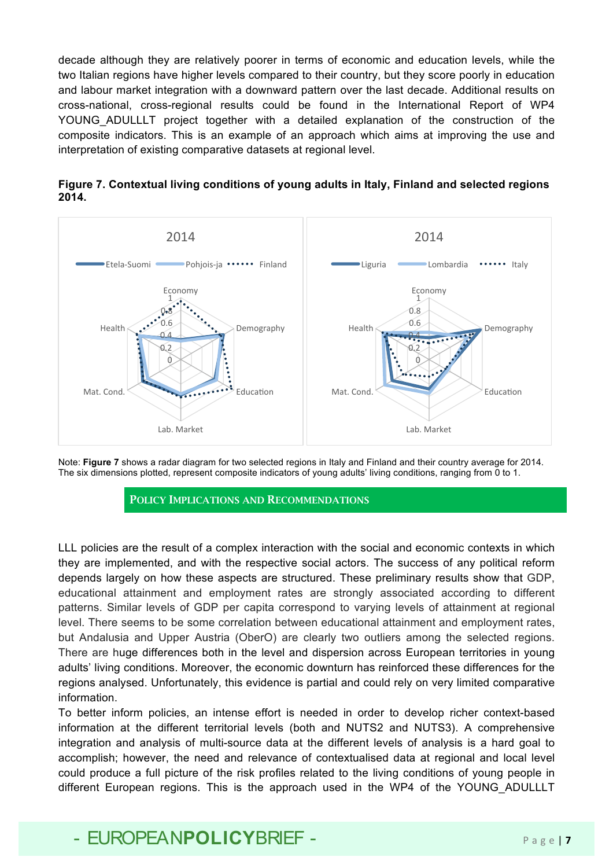decade although they are relatively poorer in terms of economic and education levels, while the two Italian regions have higher levels compared to their country, but they score poorly in education and labour market integration with a downward pattern over the last decade. Additional results on cross-national, cross-regional results could be found in the International Report of WP4 YOUNG ADULLLT project together with a detailed explanation of the construction of the composite indicators. This is an example of an approach which aims at improving the use and interpretation of existing comparative datasets at regional level.





Note: **Figure 7** shows a radar diagram for two selected regions in Italy and Finland and their country average for 2014. The six dimensions plotted, represent composite indicators of young adults' living conditions, ranging from 0 to 1.

#### POLICY IMPLICATIONS AND RECOMMENDATIONS

LLL policies are the result of a complex interaction with the social and economic contexts in which they are implemented, and with the respective social actors. The success of any political reform depends largely on how these aspects are structured. These preliminary results show that GDP, educational attainment and employment rates are strongly associated according to different patterns. Similar levels of GDP per capita correspond to varying levels of attainment at regional level. There seems to be some correlation between educational attainment and employment rates, but Andalusia and Upper Austria (OberO) are clearly two outliers among the selected regions. There are huge differences both in the level and dispersion across European territories in young adults' living conditions. Moreover, the economic downturn has reinforced these differences for the regions analysed. Unfortunately, this evidence is partial and could rely on very limited comparative information.

To better inform policies, an intense effort is needed in order to develop richer context-based information at the different territorial levels (both and NUTS2 and NUTS3). A comprehensive integration and analysis of multi-source data at the different levels of analysis is a hard goal to accomplish; however, the need and relevance of contextualised data at regional and local level could produce a full picture of the risk profiles related to the living conditions of young people in different European regions. This is the approach used in the WP4 of the YOUNG\_ADULLLT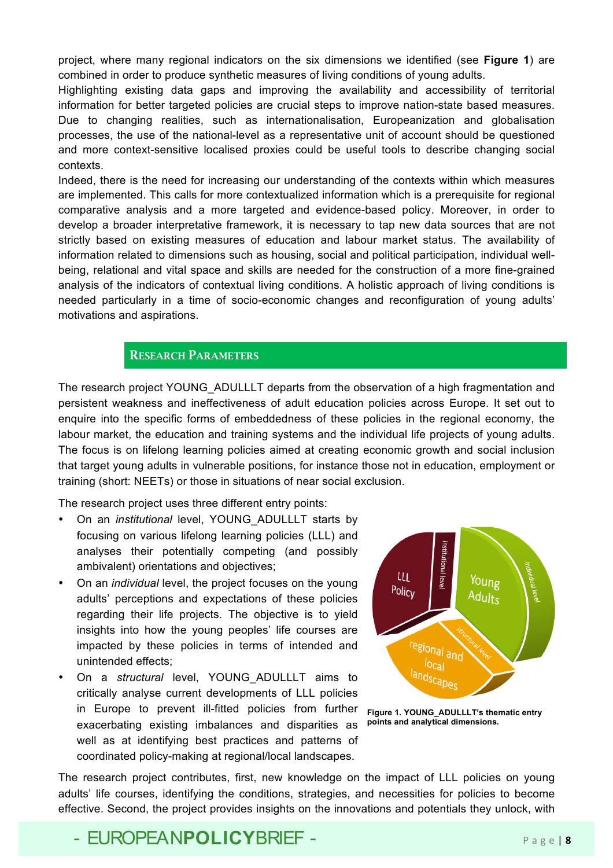project, where many regional indicators on the six dimensions we identified (see **Figure 1**) are combined in order to produce synthetic measures of living conditions of young adults.

Highlighting existing data gaps and improving the availability and accessibility of territorial information for better targeted policies are crucial steps to improve nation-state based measures. Due to changing realities, such as internationalisation, Europeanization and globalisation processes, the use of the national-level as a representative unit of account should be questioned and more context-sensitive localised proxies could be useful tools to describe changing social contexts.

Indeed, there is the need for increasing our understanding of the contexts within which measures are implemented. This calls for more contextualized information which is a prerequisite for regional comparative analysis and a more targeted and evidence-based policy. Moreover, in order to develop a broader interpretative framework, it is necessary to tap new data sources that are not strictly based on existing measures of education and labour market status. The availability of information related to dimensions such as housing, social and political participation, individual wellbeing, relational and vital space and skills are needed for the construction of a more fine-grained analysis of the indicators of contextual living conditions. A holistic approach of living conditions is needed particularly in a time of socio-economic changes and reconfiguration of young adults' motivations and aspirations.

#### RESEARCH PARAMETERS

The research project YOUNG ADULLLT departs from the observation of a high fragmentation and persistent weakness and ineffectiveness of adult education policies across Europe. It set out to enquire into the specific forms of embeddedness of these policies in the regional economy, the labour market, the education and training systems and the individual life projects of young adults. The focus is on lifelong learning policies aimed at creating economic growth and social inclusion that target young adults in vulnerable positions, for instance those not in education, employment or training (short: NEETs) or those in situations of near social exclusion.

The research project uses three different entry points:

- On an *institutional* level, YOUNG\_ADULLLT starts by focusing on various lifelong learning policies (LLL) and analyses their potentially competing (and possibly ambivalent) orientations and objectives;
- On an *individual* level, the project focuses on the young adults' perceptions and expectations of these policies regarding their life projects. The objective is to yield insights into how the young peoples' life courses are impacted by these policies in terms of intended and unintended effects;
- On a *structural* level, YOUNG\_ADULLLT aims to critically analyse current developments of LLL policies in Europe to prevent ill-fitted policies from further exacerbating existing imbalances and disparities as well as at identifying best practices and patterns of coordinated policy-making at regional/local landscapes.



**Figure 1. YOUNG\_ADULLLT's thematic entry points and analytical dimensions.**

The research project contributes, first, new knowledge on the impact of LLL policies on young adults' life courses, identifying the conditions, strategies, and necessities for policies to become effective. Second, the project provides insights on the innovations and potentials they unlock, with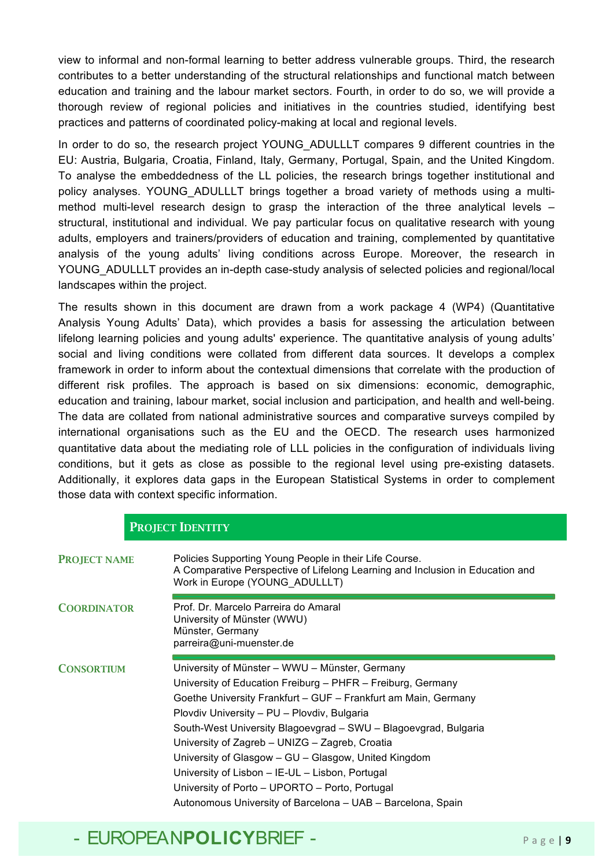view to informal and non-formal learning to better address vulnerable groups. Third, the research contributes to a better understanding of the structural relationships and functional match between education and training and the labour market sectors. Fourth, in order to do so, we will provide a thorough review of regional policies and initiatives in the countries studied, identifying best practices and patterns of coordinated policy-making at local and regional levels.

In order to do so, the research project YOUNG ADULLLT compares 9 different countries in the EU: Austria, Bulgaria, Croatia, Finland, Italy, Germany, Portugal, Spain, and the United Kingdom. To analyse the embeddedness of the LL policies, the research brings together institutional and policy analyses. YOUNG\_ADULLLT brings together a broad variety of methods using a multimethod multi-level research design to grasp the interaction of the three analytical levels – structural, institutional and individual. We pay particular focus on qualitative research with young adults, employers and trainers/providers of education and training, complemented by quantitative analysis of the young adults' living conditions across Europe. Moreover, the research in YOUNG ADULLLT provides an in-depth case-study analysis of selected policies and regional/local landscapes within the project.

The results shown in this document are drawn from a work package 4 (WP4) (Quantitative Analysis Young Adults' Data), which provides a basis for assessing the articulation between lifelong learning policies and young adults' experience. The quantitative analysis of young adults' social and living conditions were collated from different data sources. It develops a complex framework in order to inform about the contextual dimensions that correlate with the production of different risk profiles. The approach is based on six dimensions: economic, demographic, education and training, labour market, social inclusion and participation, and health and well-being. The data are collated from national administrative sources and comparative surveys compiled by international organisations such as the EU and the OECD. The research uses harmonized quantitative data about the mediating role of LLL policies in the configuration of individuals living conditions, but it gets as close as possible to the regional level using pre-existing datasets. Additionally, it explores data gaps in the European Statistical Systems in order to complement those data with context specific information.

|                     | <b>PROJECT IDENTITY</b>                                                                                                                                                                                                                                                                                                                                                                                                                                                                                                                                                         |
|---------------------|---------------------------------------------------------------------------------------------------------------------------------------------------------------------------------------------------------------------------------------------------------------------------------------------------------------------------------------------------------------------------------------------------------------------------------------------------------------------------------------------------------------------------------------------------------------------------------|
| <b>PROJECT NAME</b> | Policies Supporting Young People in their Life Course.<br>A Comparative Perspective of Lifelong Learning and Inclusion in Education and<br>Work in Europe (YOUNG ADULLLT)                                                                                                                                                                                                                                                                                                                                                                                                       |
| <b>COORDINATOR</b>  | Prof. Dr. Marcelo Parreira do Amaral<br>University of Münster (WWU)<br>Münster, Germany<br>parreira@uni-muenster.de                                                                                                                                                                                                                                                                                                                                                                                                                                                             |
| <b>CONSORTIUM</b>   | University of Münster - WWU - Münster, Germany<br>University of Education Freiburg - PHFR - Freiburg, Germany<br>Goethe University Frankfurt – GUF – Frankfurt am Main, Germany<br>Plovdiv University - PU - Plovdiv, Bulgaria<br>South-West University Blagoevgrad - SWU - Blagoevgrad, Bulgaria<br>University of Zagreb - UNIZG - Zagreb, Croatia<br>University of Glasgow - GU - Glasgow, United Kingdom<br>University of Lisbon - IE-UL - Lisbon, Portugal<br>University of Porto - UPORTO - Porto, Portugal<br>Autonomous University of Barcelona - UAB - Barcelona, Spain |